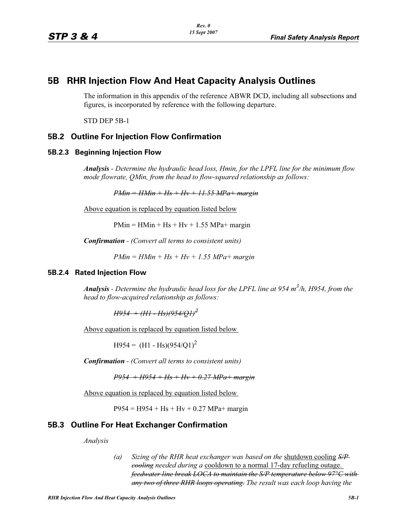# **5B RHR Injection Flow And Heat Capacity Analysis Outlines**

The information in this appendix of the reference ABWR DCD, including all subsections and figures, is incorporated by reference with the following departure.

STD DEP 5B-1

## **5B.2 Outline For Injection Flow Confirmation**

#### **5B.2.3 Beginning Injection Flow**

*Analysis - Determine the hydraulic head loss, Hmin, for the LPFL line for the minimum flow mode flowrate, QMin, from the head to flow-squared relationship as follows:*

*PMin = HMin + Hs + Hv + 11.55 MPa+ margin*

Above equation is replaced by equation listed below

 $PMin = HMin + Hs + Hv + 1.55 MPa + margin$ 

*Confirmation - (Convert all terms to consistent units)*

*PMin = HMin + Hs + Hv + 1.55 MPa+ margin*

#### **5B.2.4 Rated Injection Flow**

*Analysis - Determine the hydraulic head loss for the LPFL line at 954 m3 /h, H954, from the head to flow-acquired relationship as follows:*

*H954 + (H1 - Hs)(954/Q1)<sup>2</sup>*

Above equation is replaced by equation listed below

 $H954 = (H1 - Hs)(954/Q1)^2$ 

*Confirmation - (Convert all terms to consistent units)*

*P954 + H954 + Hs + Hv + 0.27 MPa+ margin*

Above equation is replaced by equation listed below

 $P954 = H954 + Hs + Hv + 0.27 MPa + margin$ 

### **5B.3 Outline For Heat Exchanger Confirmation**

*Analysis*

*(a) Sizing of the RHR heat exchanger was based on the* shutdown cooling *S/P cooling needed during a* cooldown to a normal 17-day refueling outage. *feedwater line break LOCA to maintain the S/P temperature below 97°C with any two of three RHR loops operating. The result was each loop having the*